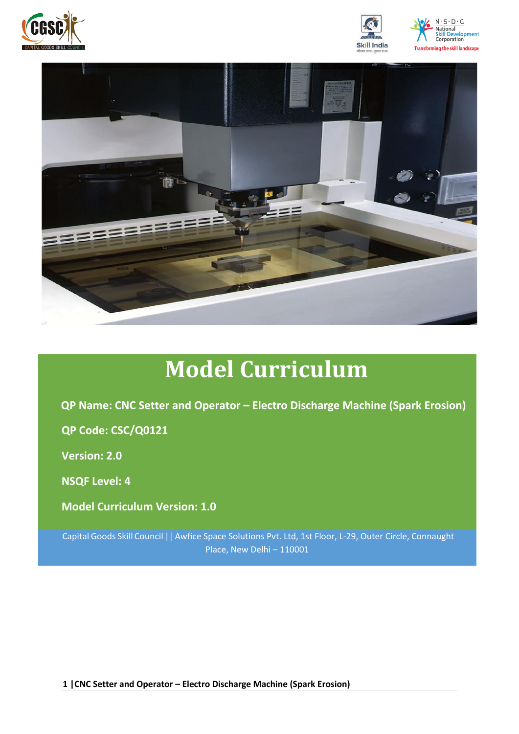







# **Model Curriculum**

**QP Name: CNC Setter and Operator – Electro Discharge Machine (Spark Erosion)**

**QP Code: CSC/Q0121**

**Version: 2.0**

**NSQF Level: 4**

**Model Curriculum Version: 1.0**

Capital Goods Skill Council || Awfice Space Solutions Pvt. Ltd, 1st Floor, L-29, Outer Circle, Connaught Place, New Delhi – 110001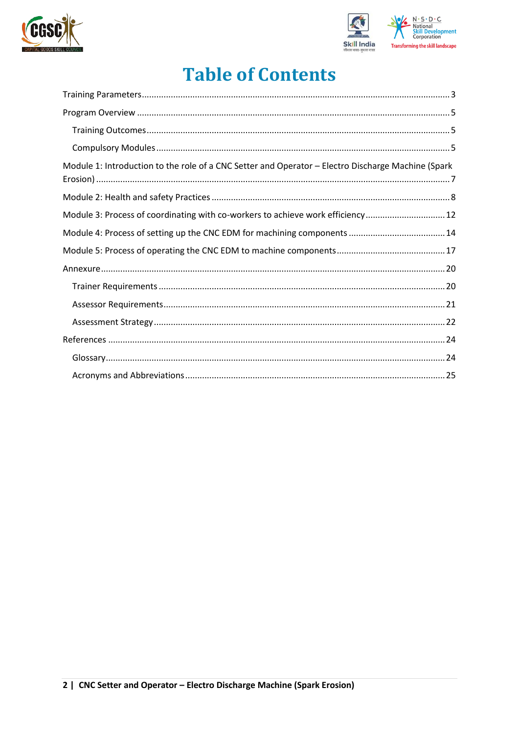



## **Table of Contents**

| Module 1: Introduction to the role of a CNC Setter and Operator - Electro Discharge Machine (Spark |  |
|----------------------------------------------------------------------------------------------------|--|
|                                                                                                    |  |
| Module 3: Process of coordinating with co-workers to achieve work efficiency 12                    |  |
|                                                                                                    |  |
|                                                                                                    |  |
|                                                                                                    |  |
|                                                                                                    |  |
|                                                                                                    |  |
|                                                                                                    |  |
|                                                                                                    |  |
|                                                                                                    |  |
|                                                                                                    |  |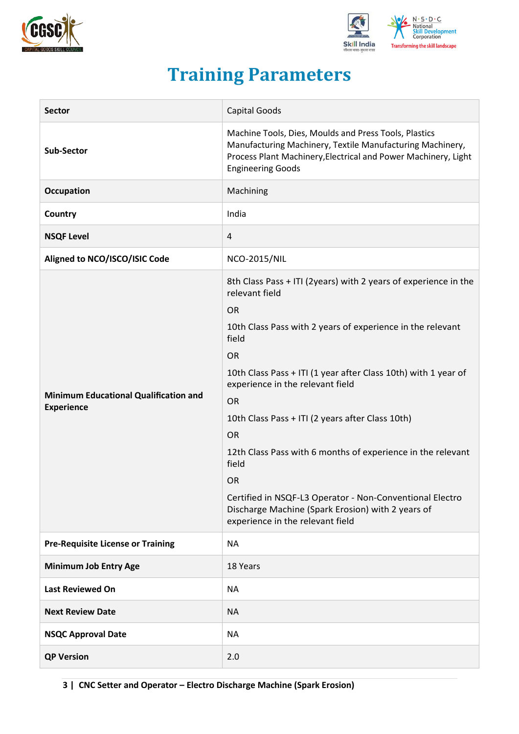



## **Training Parameters**

<span id="page-2-0"></span>

| <b>Sector</b>                                                     | <b>Capital Goods</b>                                                                                                                                                                                                                                                                                                                                                                                                                                                                                                                                                                                             |  |  |
|-------------------------------------------------------------------|------------------------------------------------------------------------------------------------------------------------------------------------------------------------------------------------------------------------------------------------------------------------------------------------------------------------------------------------------------------------------------------------------------------------------------------------------------------------------------------------------------------------------------------------------------------------------------------------------------------|--|--|
| <b>Sub-Sector</b>                                                 | Machine Tools, Dies, Moulds and Press Tools, Plastics<br>Manufacturing Machinery, Textile Manufacturing Machinery,<br>Process Plant Machinery, Electrical and Power Machinery, Light<br><b>Engineering Goods</b>                                                                                                                                                                                                                                                                                                                                                                                                 |  |  |
| <b>Occupation</b>                                                 | Machining                                                                                                                                                                                                                                                                                                                                                                                                                                                                                                                                                                                                        |  |  |
| Country                                                           | India                                                                                                                                                                                                                                                                                                                                                                                                                                                                                                                                                                                                            |  |  |
| <b>NSQF Level</b>                                                 | 4                                                                                                                                                                                                                                                                                                                                                                                                                                                                                                                                                                                                                |  |  |
| Aligned to NCO/ISCO/ISIC Code                                     | <b>NCO-2015/NIL</b>                                                                                                                                                                                                                                                                                                                                                                                                                                                                                                                                                                                              |  |  |
| <b>Minimum Educational Qualification and</b><br><b>Experience</b> | 8th Class Pass + ITI (2years) with 2 years of experience in the<br>relevant field<br><b>OR</b><br>10th Class Pass with 2 years of experience in the relevant<br>field<br><b>OR</b><br>10th Class Pass + ITI (1 year after Class 10th) with 1 year of<br>experience in the relevant field<br><b>OR</b><br>10th Class Pass + ITI (2 years after Class 10th)<br><b>OR</b><br>12th Class Pass with 6 months of experience in the relevant<br>field<br><b>OR</b><br>Certified in NSQF-L3 Operator - Non-Conventional Electro<br>Discharge Machine (Spark Erosion) with 2 years of<br>experience in the relevant field |  |  |
| <b>Pre-Requisite License or Training</b>                          | <b>NA</b>                                                                                                                                                                                                                                                                                                                                                                                                                                                                                                                                                                                                        |  |  |
| <b>Minimum Job Entry Age</b>                                      | 18 Years                                                                                                                                                                                                                                                                                                                                                                                                                                                                                                                                                                                                         |  |  |
| <b>Last Reviewed On</b>                                           | <b>NA</b>                                                                                                                                                                                                                                                                                                                                                                                                                                                                                                                                                                                                        |  |  |
| <b>Next Review Date</b>                                           | <b>NA</b>                                                                                                                                                                                                                                                                                                                                                                                                                                                                                                                                                                                                        |  |  |
| <b>NSQC Approval Date</b>                                         | <b>NA</b>                                                                                                                                                                                                                                                                                                                                                                                                                                                                                                                                                                                                        |  |  |
| <b>QP Version</b>                                                 | 2.0                                                                                                                                                                                                                                                                                                                                                                                                                                                                                                                                                                                                              |  |  |

**3 | CNC Setter and Operator – Electro Discharge Machine (Spark Erosion)**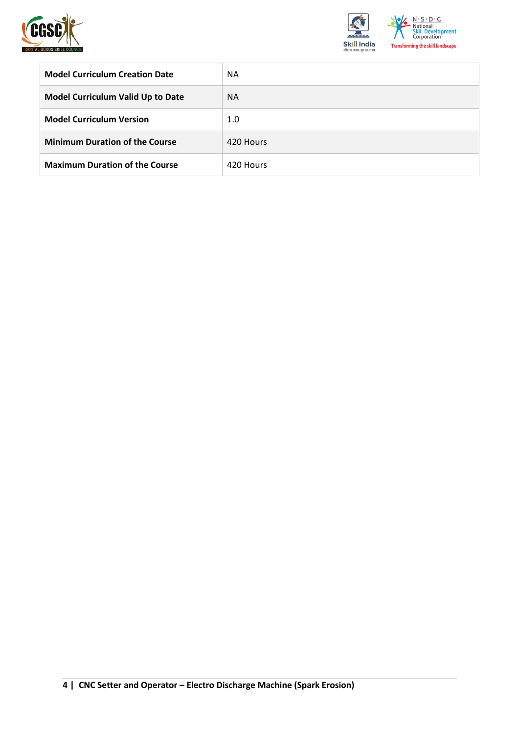



| <b>Model Curriculum Creation Date</b>    | <b>NA</b> |
|------------------------------------------|-----------|
| <b>Model Curriculum Valid Up to Date</b> | <b>NA</b> |
| <b>Model Curriculum Version</b>          | 1.0       |
| <b>Minimum Duration of the Course</b>    | 420 Hours |
| <b>Maximum Duration of the Course</b>    | 420 Hours |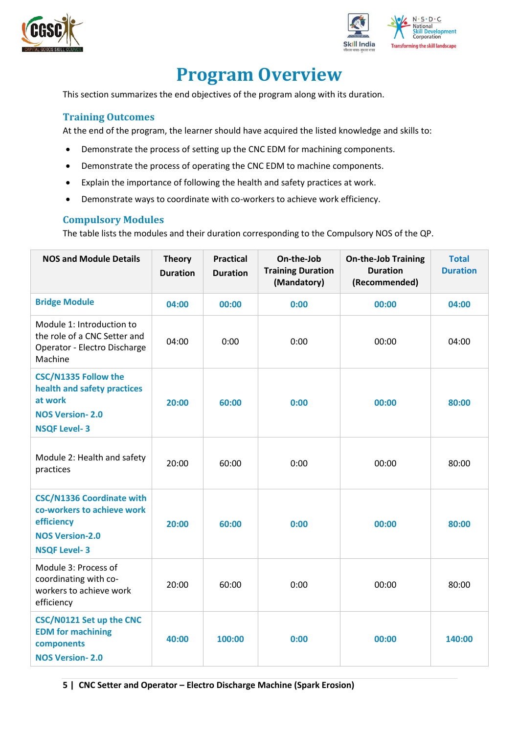



## **Program Overview**

<span id="page-4-0"></span>This section summarizes the end objectives of the program along with its duration.

#### <span id="page-4-1"></span>**Training Outcomes**

At the end of the program, the learner should have acquired the listed knowledge and skills to:

- Demonstrate the process of setting up the CNC EDM for machining components.
- Demonstrate the process of operating the CNC EDM to machine components.
- Explain the importance of following the health and safety practices at work.
- Demonstrate ways to coordinate with co-workers to achieve work efficiency.

#### <span id="page-4-2"></span>**Compulsory Modules**

The table lists the modules and their duration corresponding to the Compulsory NOS of the QP.

| <b>NOS and Module Details</b>                                                                                                 | <b>Theory</b><br><b>Duration</b> | <b>Practical</b><br><b>Duration</b> | On-the-Job<br><b>On-the-Job Training</b><br><b>Training Duration</b><br><b>Duration</b><br>(Mandatory)<br>(Recommended) |       | <b>Total</b><br><b>Duration</b> |
|-------------------------------------------------------------------------------------------------------------------------------|----------------------------------|-------------------------------------|-------------------------------------------------------------------------------------------------------------------------|-------|---------------------------------|
| <b>Bridge Module</b>                                                                                                          | 04:00                            | 00:00                               | 0:00                                                                                                                    | 00:00 | 04:00                           |
| Module 1: Introduction to<br>the role of a CNC Setter and<br>Operator - Electro Discharge<br>Machine                          | 04:00                            | 0:00                                | 0:00                                                                                                                    | 00:00 | 04:00                           |
| <b>CSC/N1335 Follow the</b><br>health and safety practices<br>at work<br><b>NOS Version-2.0</b><br><b>NSQF Level-3</b>        | 20:00                            | 60:00                               | 0:00                                                                                                                    | 00:00 |                                 |
| Module 2: Health and safety<br>practices                                                                                      | 20:00                            | 60:00                               | 0:00                                                                                                                    | 00:00 | 80:00                           |
| <b>CSC/N1336 Coordinate with</b><br>co-workers to achieve work<br>efficiency<br><b>NOS Version-2.0</b><br><b>NSQF Level-3</b> | 20:00                            | 60:00                               | 0:00                                                                                                                    | 00:00 | 80:00                           |
| Module 3: Process of<br>coordinating with co-<br>workers to achieve work<br>efficiency                                        | 20:00                            | 60:00                               | 0:00<br>00:00                                                                                                           |       | 80:00                           |
| CSC/N0121 Set up the CNC<br><b>EDM</b> for machining<br>components<br><b>NOS Version-2.0</b>                                  | 40:00                            | 100:00                              | 0:00<br>00:00                                                                                                           |       | 140:00                          |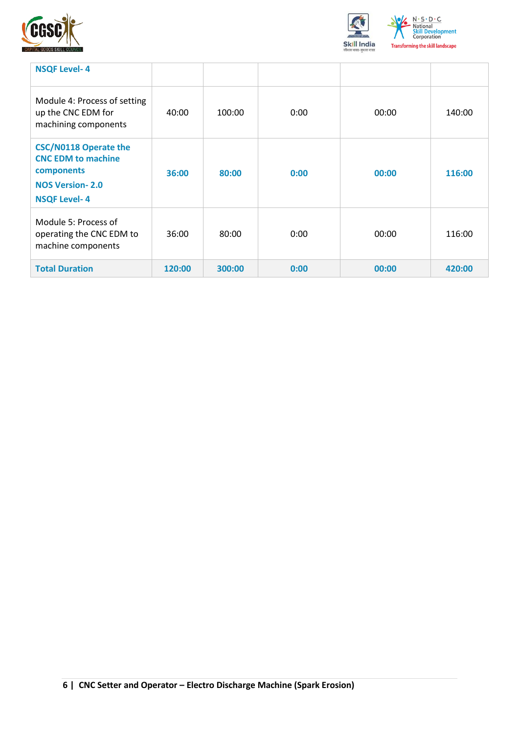



| <b>NSQF Level-4</b>                                                                                                      |        |        |      |       |        |
|--------------------------------------------------------------------------------------------------------------------------|--------|--------|------|-------|--------|
| Module 4: Process of setting<br>up the CNC EDM for<br>machining components                                               | 40:00  | 100:00 | 0:00 | 00:00 | 140:00 |
| <b>CSC/N0118 Operate the</b><br><b>CNC EDM to machine</b><br>components<br><b>NOS Version-2.0</b><br><b>NSQF Level-4</b> | 36:00  | 80:00  | 0:00 | 00:00 | 116:00 |
| Module 5: Process of<br>operating the CNC EDM to<br>machine components                                                   | 36:00  | 80:00  | 0:00 | 00:00 | 116:00 |
| <b>Total Duration</b>                                                                                                    | 120:00 | 300:00 | 0:00 | 00:00 | 420:00 |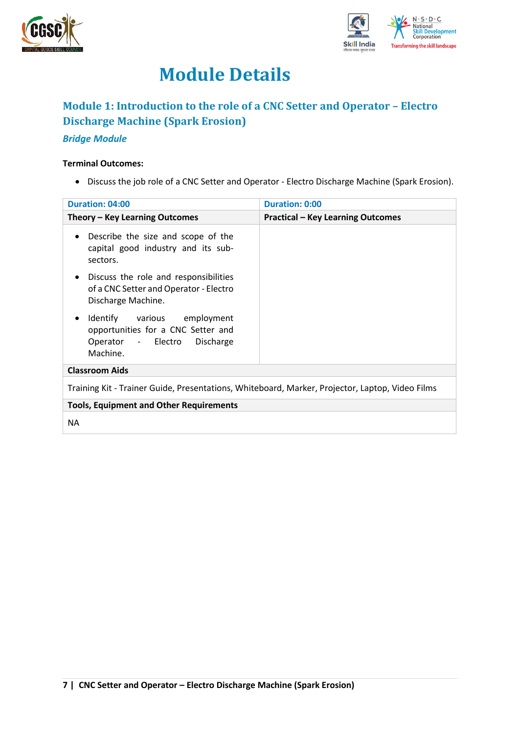



## **Module Details**

## <span id="page-6-0"></span>**Module 1: Introduction to the role of a CNC Setter and Operator – Electro Discharge Machine (Spark Erosion)**

#### *Bridge Module*

#### **Terminal Outcomes:**

• Discuss the job role of a CNC Setter and Operator - Electro Discharge Machine (Spark Erosion).

| Duration: 04:00                                                                                                            | <b>Duration: 0:00</b>                    |
|----------------------------------------------------------------------------------------------------------------------------|------------------------------------------|
| Theory - Key Learning Outcomes                                                                                             | <b>Practical - Key Learning Outcomes</b> |
| Describe the size and scope of the<br>$\bullet$<br>capital good industry and its sub-<br>sectors.                          |                                          |
| Discuss the role and responsibilities<br>$\bullet$<br>of a CNC Setter and Operator - Electro<br>Discharge Machine.         |                                          |
| Identify various employment<br>$\bullet$<br>opportunities for a CNC Setter and<br>Operator - Electro Discharge<br>Machine. |                                          |
| <b>Classroom Aids</b>                                                                                                      |                                          |
| Training Kit - Trainer Guide, Presentations, Whiteboard, Marker, Projector, Laptop, Video Films                            |                                          |
| <b>Tools, Equipment and Other Requirements</b>                                                                             |                                          |
| <b>NA</b>                                                                                                                  |                                          |
|                                                                                                                            |                                          |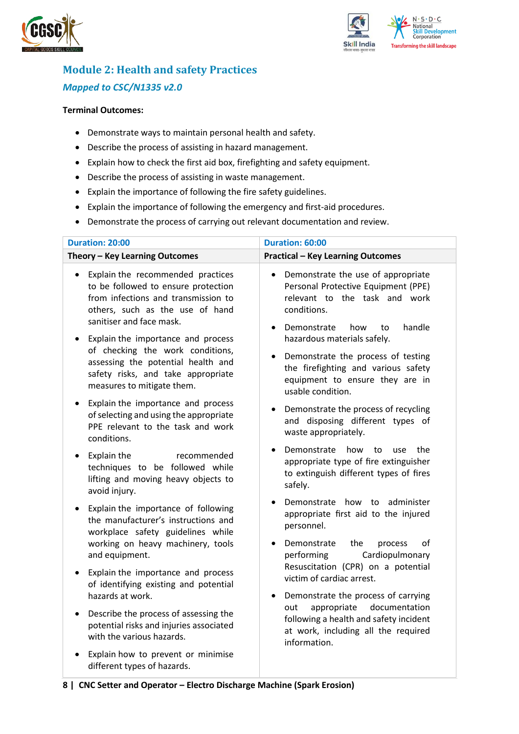



## <span id="page-7-0"></span>**Module 2: Health and safety Practices** *Mapped to CSC/N1335 v2.0*

#### **Terminal Outcomes:**

- Demonstrate ways to maintain personal health and safety.
- Describe the process of assisting in hazard management.
- Explain how to check the first aid box, firefighting and safety equipment.
- Describe the process of assisting in waste management.
- Explain the importance of following the fire safety guidelines.
- Explain the importance of following the emergency and first-aid procedures.
- Demonstrate the process of carrying out relevant documentation and review.

| <b>Duration: 20:00</b>                                                                                                                                                                        | Duration: 60:00                                                                                                                                                              |
|-----------------------------------------------------------------------------------------------------------------------------------------------------------------------------------------------|------------------------------------------------------------------------------------------------------------------------------------------------------------------------------|
| Theory - Key Learning Outcomes                                                                                                                                                                | <b>Practical - Key Learning Outcomes</b>                                                                                                                                     |
| Explain the recommended practices<br>$\bullet$<br>to be followed to ensure protection<br>from infections and transmission to<br>others, such as the use of hand<br>sanitiser and face mask.   | Demonstrate the use of appropriate<br>$\bullet$<br>Personal Protective Equipment (PPE)<br>relevant to the task and work<br>conditions.<br>handle<br>Demonstrate<br>how<br>to |
| Explain the importance and process<br>$\bullet$<br>of checking the work conditions,<br>assessing the potential health and<br>safety risks, and take appropriate<br>measures to mitigate them. | hazardous materials safely.<br>Demonstrate the process of testing<br>the firefighting and various safety<br>equipment to ensure they are in<br>usable condition.             |
| Explain the importance and process<br>$\bullet$<br>of selecting and using the appropriate<br>PPE relevant to the task and work<br>conditions.                                                 | Demonstrate the process of recycling<br>and disposing different types of<br>waste appropriately.                                                                             |
| Explain the<br>recommended<br>$\bullet$<br>techniques to be followed while<br>lifting and moving heavy objects to<br>avoid injury.                                                            | Demonstrate<br>how<br>the<br>to<br>use<br>appropriate type of fire extinguisher<br>to extinguish different types of fires<br>safely.                                         |
| Explain the importance of following<br>$\bullet$<br>the manufacturer's instructions and<br>workplace safety guidelines while<br>working on heavy machinery, tools                             | Demonstrate how to administer<br>appropriate first aid to the injured<br>personnel.<br>οf<br>Demonstrate<br>the<br>process                                                   |
| and equipment.<br>Explain the importance and process<br>$\bullet$<br>of identifying existing and potential<br>hazards at work.                                                                | Cardiopulmonary<br>performing<br>Resuscitation (CPR) on a potential<br>victim of cardiac arrest.<br>Demonstrate the process of carrying<br>$\bullet$                         |
| Describe the process of assessing the<br>$\bullet$<br>potential risks and injuries associated<br>with the various hazards.                                                                    | documentation<br>appropriate<br>out<br>following a health and safety incident<br>at work, including all the required<br>information.                                         |
| Explain how to prevent or minimise<br>different types of hazards.                                                                                                                             |                                                                                                                                                                              |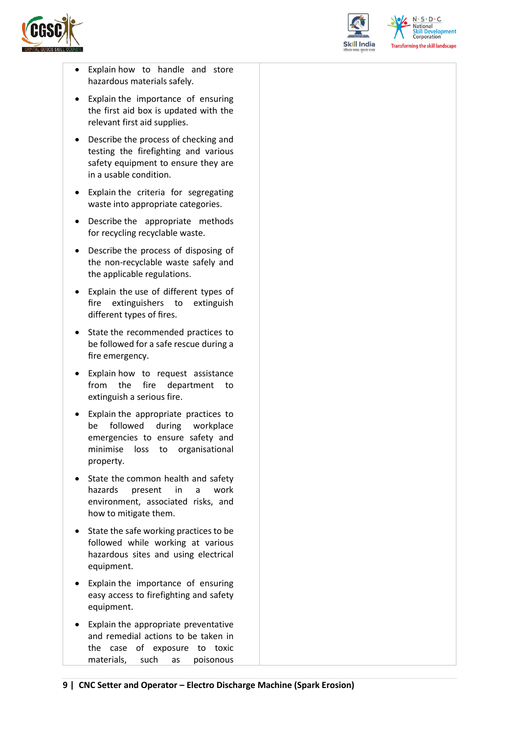



 $N.5.0.6$ **Skill Development**<br>Corporation **Transforming the skill landscape** 

- Explain how to handle and store hazardous materials safely.
- Explain the importance of ensuring the first aid box is updated with the relevant first aid supplies.
- Describe the process of checking and testing the firefighting and various safety equipment to ensure they are in a usable condition.
- Explain the criteria for segregating waste into appropriate categories.
- Describe the appropriate methods for recycling recyclable waste.
- Describe the process of disposing of the non-recyclable waste safely and the applicable regulations.
- Explain the use of different types of fire extinguishers to extinguish different types of fires.
- State the recommended practices to be followed for a safe rescue during a fire emergency.
- Explain how to request assistance from the fire department to extinguish a serious fire.
- Explain the appropriate practices to be followed during workplace emergencies to ensure safety and minimise loss to organisational property.
- State the common health and safety hazards present in a work environment, associated risks, and how to mitigate them.
- State the safe working practices to be followed while working at various hazardous sites and using electrical equipment.
- Explain the importance of ensuring easy access to firefighting and safety equipment.
- Explain the appropriate preventative and remedial actions to be taken in the case of exposure to toxic materials, such as poisonous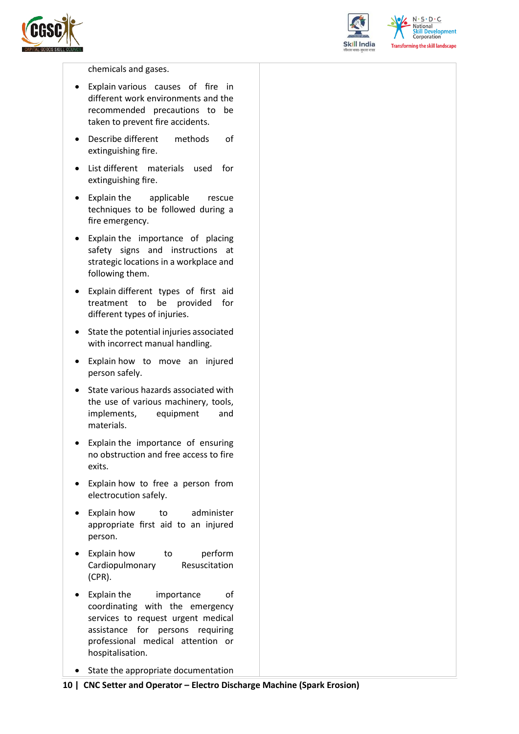



 $N.5.0.6$ **Skill Development**<br>Corporation **Transforming the skill landscape** 

chemicals and gases.

- Explain various causes of fire in different work environments and the recommended precautions to be taken to prevent fire accidents.
- Describe different methods of extinguishing fire.
- List different materials used for extinguishing fire.
- Explain the applicable rescue techniques to be followed during a fire emergency.
- Explain the importance of placing safety signs and instructions at strategic locations in a workplace and following them.
- Explain different types of first aid treatment to be provided for different types of injuries.
- State the potential injuries associated with incorrect manual handling.
- Explain how to move an injured person safely.
- State various hazards associated with the use of various machinery, tools, implements, equipment and materials.
- Explain the importance of ensuring no obstruction and free access to fire exits.
- Explain how to free a person from electrocution safely.
- Explain how to administer appropriate first aid to an injured person.
- Explain how to perform Cardiopulmonary Resuscitation (CPR).
- Explain the importance of coordinating with the emergency services to request urgent medical assistance for persons requiring professional medical attention or hospitalisation.
- State the appropriate documentation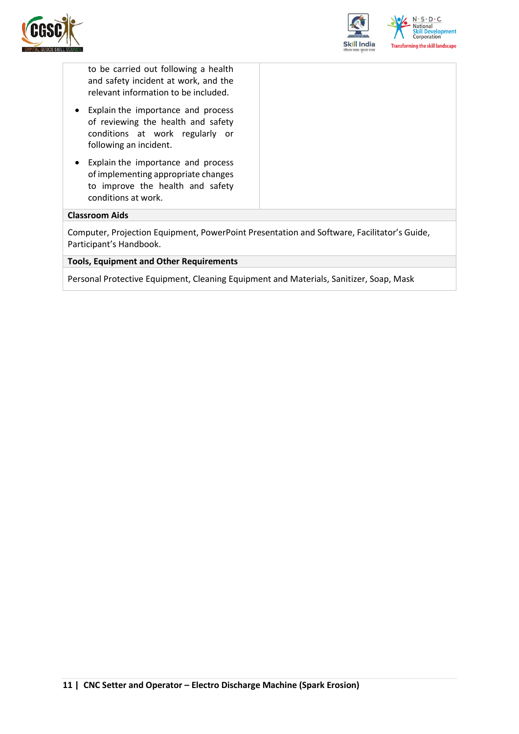



to be carried out following a health and safety incident at work, and the relevant information to be included.

- Explain the importance and process of reviewing the health and safety conditions at work regularly or following an incident.
- Explain the importance and process of implementing appropriate changes to improve the health and safety conditions at work.

#### **Classroom Aids**

Computer, Projection Equipment, PowerPoint Presentation and Software, Facilitator's Guide, Participant's Handbook.

#### **Tools, Equipment and Other Requirements**

Personal Protective Equipment, Cleaning Equipment and Materials, Sanitizer, Soap, Mask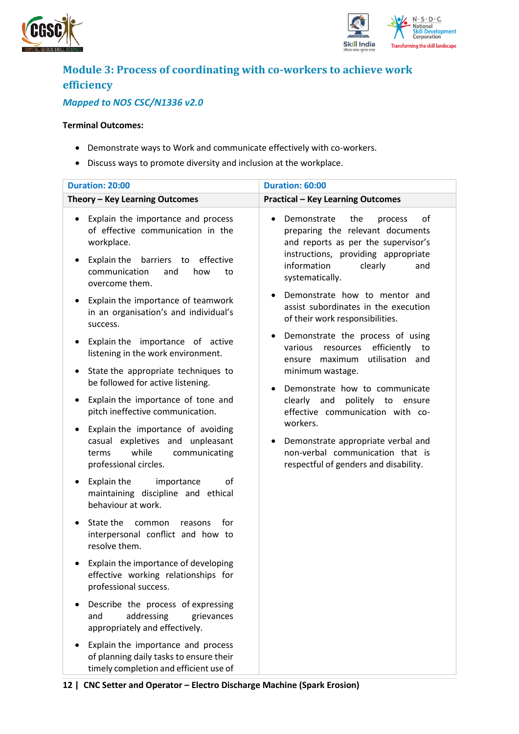



## <span id="page-11-0"></span>**Module 3: Process of coordinating with co-workers to achieve work efficiency**

### *Mapped to NOS CSC/N1336 v2.0*

#### **Terminal Outcomes:**

- Demonstrate ways to Work and communicate effectively with co-workers.
- Discuss ways to promote diversity and inclusion at the workplace.

| <b>Duration: 20:00</b>                                                                                                                                                                                    | Duration: 60:00                                                                                                                                                                                                                            |
|-----------------------------------------------------------------------------------------------------------------------------------------------------------------------------------------------------------|--------------------------------------------------------------------------------------------------------------------------------------------------------------------------------------------------------------------------------------------|
| Theory - Key Learning Outcomes                                                                                                                                                                            | <b>Practical - Key Learning Outcomes</b>                                                                                                                                                                                                   |
| Explain the importance and process<br>$\bullet$<br>of effective communication in the<br>workplace.<br>Explain the<br>barriers to<br>effective<br>٠<br>communication<br>and<br>how<br>to<br>overcome them. | Demonstrate<br>the<br>of<br>process<br>preparing the relevant documents<br>and reports as per the supervisor's<br>instructions, providing appropriate<br>information<br>clearly<br>and<br>systematically.<br>Demonstrate how to mentor and |
| Explain the importance of teamwork<br>$\bullet$<br>in an organisation's and individual's<br>success.                                                                                                      | assist subordinates in the execution<br>of their work responsibilities.                                                                                                                                                                    |
| Explain the importance of active<br>$\bullet$<br>listening in the work environment.                                                                                                                       | Demonstrate the process of using<br>efficiently<br>various<br>resources<br>to<br>utilisation and<br>maximum<br>ensure                                                                                                                      |
| State the appropriate techniques to<br>$\bullet$<br>be followed for active listening.                                                                                                                     | minimum wastage.<br>Demonstrate how to communicate                                                                                                                                                                                         |
| Explain the importance of tone and<br>$\bullet$<br>pitch ineffective communication.                                                                                                                       | clearly and<br>politely to ensure<br>effective communication with co-                                                                                                                                                                      |
| Explain the importance of avoiding<br>٠<br>casual expletives and unpleasant<br>while<br>communicating<br>terms<br>professional circles.                                                                   | workers.<br>Demonstrate appropriate verbal and<br>non-verbal communication that is<br>respectful of genders and disability.                                                                                                                |
| Explain the<br>importance<br>οf<br>٠<br>maintaining discipline and ethical<br>behaviour at work.                                                                                                          |                                                                                                                                                                                                                                            |
| State the<br>common<br>for<br>reasons<br>$\bullet$<br>interpersonal conflict and how to<br>resolve them.                                                                                                  |                                                                                                                                                                                                                                            |
| Explain the importance of developing<br>$\bullet$<br>effective working relationships for<br>professional success.                                                                                         |                                                                                                                                                                                                                                            |
| Describe the process of expressing<br>addressing<br>and<br>grievances<br>appropriately and effectively.                                                                                                   |                                                                                                                                                                                                                                            |
| Explain the importance and process<br>of planning daily tasks to ensure their<br>timely completion and efficient use of                                                                                   |                                                                                                                                                                                                                                            |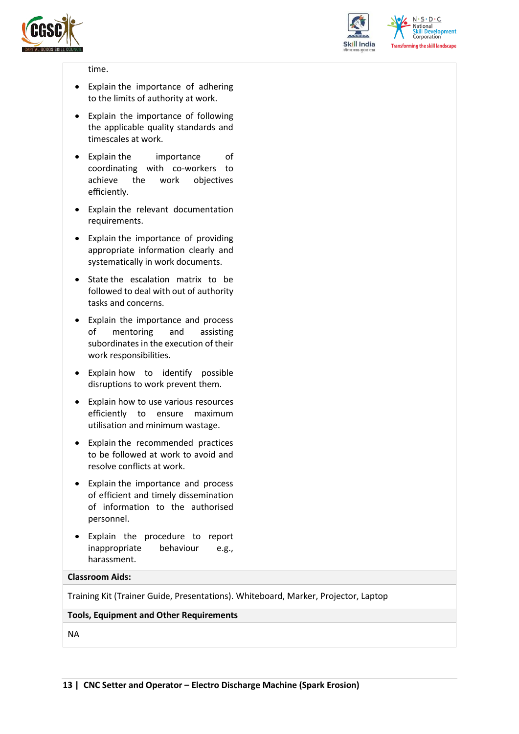



 $N.5.0.6$ **Skill Development**<br>Corporation **Transforming the skill landscape** 

#### time.

- Explain the importance of adhering to the limits of authority at work.
- Explain the importance of following the applicable quality standards and timescales at work.
- Explain the importance of coordinating with co-workers to achieve the work objectives efficiently.
- Explain the relevant documentation requirements.
- Explain the importance of providing appropriate information clearly and systematically in work documents.
- State the escalation matrix to be followed to deal with out of authority tasks and concerns.
- Explain the importance and process of mentoring and assisting subordinates in the execution of their work responsibilities.
- Explain how to identify possible disruptions to work prevent them.
- Explain how to use various resources efficiently to ensure maximum utilisation and minimum wastage.
- Explain the recommended practices to be followed at work to avoid and resolve conflicts at work.
- Explain the importance and process of efficient and timely dissemination of information to the authorised personnel.
- Explain the procedure to report inappropriate behaviour e.g., harassment.

#### **Classroom Aids:**

Training Kit (Trainer Guide, Presentations). Whiteboard, Marker, Projector, Laptop

#### **Tools, Equipment and Other Requirements**

NA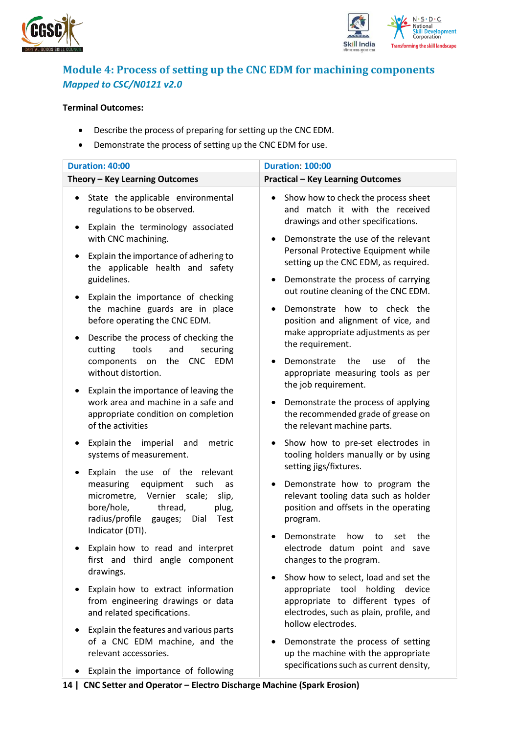



### <span id="page-13-0"></span>**Module 4: Process of setting up the CNC EDM for machining components** *Mapped to CSC/N0121 v2.0*

#### **Terminal Outcomes:**

- Describe the process of preparing for setting up the CNC EDM.
- Demonstrate the process of setting up the CNC EDM for use.

| Duration: 40:00                                                                                                                                                                                         | <b>Duration: 100:00</b>                                                                                                                                 |
|---------------------------------------------------------------------------------------------------------------------------------------------------------------------------------------------------------|---------------------------------------------------------------------------------------------------------------------------------------------------------|
| Theory - Key Learning Outcomes                                                                                                                                                                          | <b>Practical - Key Learning Outcomes</b>                                                                                                                |
| State the applicable environmental<br>٠<br>regulations to be observed.<br>Explain the terminology associated<br>with CNC machining.                                                                     | Show how to check the process sheet<br>٠<br>and match it with the received<br>drawings and other specifications.<br>Demonstrate the use of the relevant |
| Explain the importance of adhering to<br>the applicable health and safety<br>guidelines.                                                                                                                | Personal Protective Equipment while<br>setting up the CNC EDM, as required.<br>Demonstrate the process of carrying                                      |
| Explain the importance of checking<br>$\bullet$<br>the machine guards are in place<br>before operating the CNC EDM.<br>Describe the process of checking the                                             | out routine cleaning of the CNC EDM.<br>Demonstrate how to check the<br>position and alignment of vice, and<br>make appropriate adjustments as per      |
| tools<br>and<br>cutting<br>securing<br>components on<br>the<br><b>CNC</b><br><b>EDM</b><br>without distortion.                                                                                          | the requirement.<br>the<br>Demonstrate<br>of<br>the<br><b>use</b><br>appropriate measuring tools as per<br>the job requirement.                         |
| Explain the importance of leaving the<br>work area and machine in a safe and<br>appropriate condition on completion<br>of the activities                                                                | Demonstrate the process of applying<br>the recommended grade of grease on<br>the relevant machine parts.                                                |
| Explain the imperial<br>and<br>metric<br>systems of measurement.                                                                                                                                        | Show how to pre-set electrodes in<br>tooling holders manually or by using<br>setting jigs/fixtures.                                                     |
| Explain the use of the relevant<br>measuring<br>equipment<br>such<br>as<br>micrometre,<br>Vernier<br>scale;<br>slip,<br>bore/hole,<br>thread,<br>plug,<br>radius/profile gauges;<br>Dial<br><b>Test</b> | Demonstrate how to program the<br>relevant tooling data such as holder<br>position and offsets in the operating<br>program.                             |
| Indicator (DTI).<br>Explain how to read and interpret<br>first and third angle component                                                                                                                | the<br>Demonstrate<br>how<br>to<br>set<br>electrode datum point and save<br>changes to the program.                                                     |
| drawings.<br>Explain how to extract information<br>from engineering drawings or data<br>and related specifications.                                                                                     | Show how to select, load and set the<br>appropriate tool holding device<br>appropriate to different types of<br>electrodes, such as plain, profile, and |
| Explain the features and various parts<br>of a CNC EDM machine, and the<br>relevant accessories.                                                                                                        | hollow electrodes.<br>Demonstrate the process of setting<br>up the machine with the appropriate                                                         |
| plain tha impartance of following                                                                                                                                                                       | specifications such as current density,                                                                                                                 |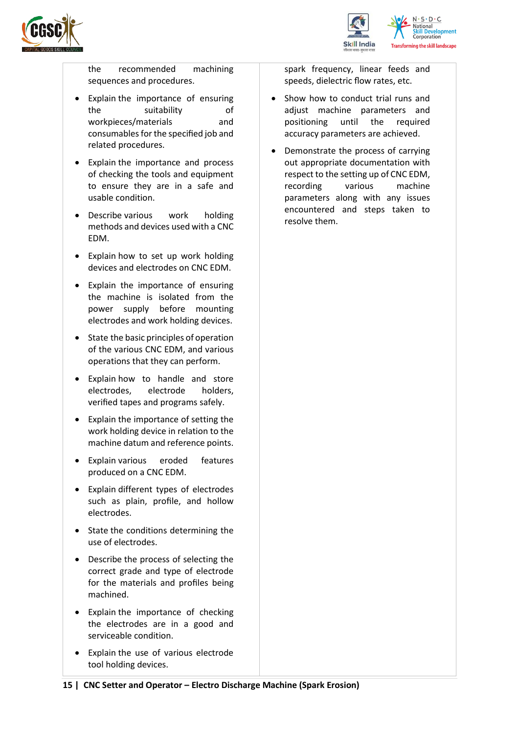



the recommended machining sequences and procedures.

- Explain the importance of ensuring the suitability of workpieces/materials and consumables for the specified job and related procedures.
- Explain the importance and process of checking the tools and equipment to ensure they are in a safe and usable condition.
- Describe various work holding methods and devices used with a CNC EDM.
- Explain how to set up work holding devices and electrodes on CNC EDM.
- Explain the importance of ensuring the machine is isolated from the power supply before mounting electrodes and work holding devices.
- State the basic principles of operation of the various CNC EDM, and various operations that they can perform.
- Explain how to handle and store electrodes, electrode holders, verified tapes and programs safely.
- Explain the importance of setting the work holding device in relation to the machine datum and reference points.
- Explain various eroded features produced on a CNC EDM.
- Explain different types of electrodes such as plain, profile, and hollow electrodes.
- State the conditions determining the use of electrodes.
- Describe the process of selecting the correct grade and type of electrode for the materials and profiles being machined.
- Explain the importance of checking the electrodes are in a good and serviceable condition.
- Explain the use of various electrode tool holding devices.

spark frequency, linear feeds and speeds, dielectric flow rates, etc.

- Show how to conduct trial runs and adjust machine parameters and positioning until the required accuracy parameters are achieved.
- Demonstrate the process of carrying out appropriate documentation with respect to the setting up of CNC EDM, recording various machine parameters along with any issues encountered and steps taken to resolve them.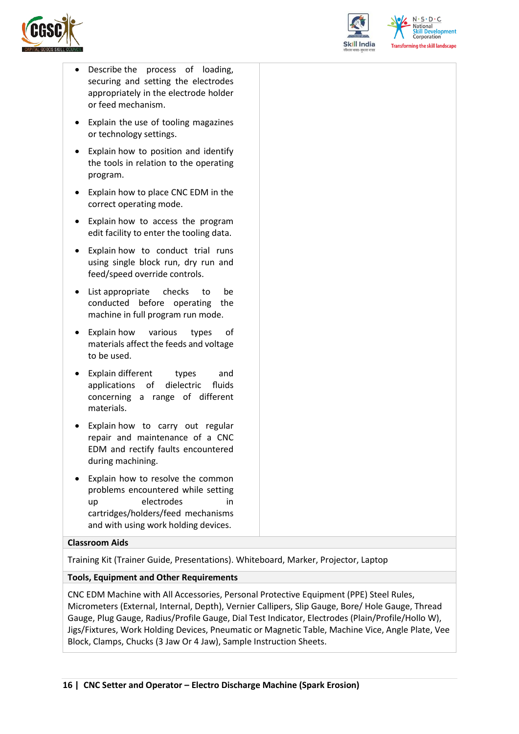



 $N \cdot S \cdot D \cdot C$ elopment **Corporation** ing the skill landscape

- Describe the process of loading, securing and setting the electrodes appropriately in the electrode holder or feed mechanism.
- Explain the use of tooling magazines or technology settings.
- Explain how to position and identify the tools in relation to the operating program.
- Explain how to place CNC EDM in the correct operating mode.
- Explain how to access the program edit facility to enter the tooling data.
- Explain how to conduct trial runs using single block run, dry run and feed/speed override controls.
- List appropriate checks to be conducted before operating the machine in full program run mode.
- Explain how various types of materials affect the feeds and voltage to be used.
- Explain different types and applications of dielectric fluids concerning a range of different materials.
- Explain how to carry out regular repair and maintenance of a CNC EDM and rectify faults encountered during machining.
- Explain how to resolve the common problems encountered while setting up electrodes in cartridges/holders/feed mechanisms and with using work holding devices.

#### **Classroom Aids**

Training Kit (Trainer Guide, Presentations). Whiteboard, Marker, Projector, Laptop

#### **Tools, Equipment and Other Requirements**

CNC EDM Machine with All Accessories, Personal Protective Equipment (PPE) Steel Rules, Micrometers (External, Internal, Depth), Vernier Callipers, Slip Gauge, Bore/ Hole Gauge, Thread Gauge, Plug Gauge, Radius/Profile Gauge, Dial Test Indicator, Electrodes (Plain/Profile/Hollo W), Jigs/Fixtures, Work Holding Devices, Pneumatic or Magnetic Table, Machine Vice, Angle Plate, Vee Block, Clamps, Chucks (3 Jaw Or 4 Jaw), Sample Instruction Sheets.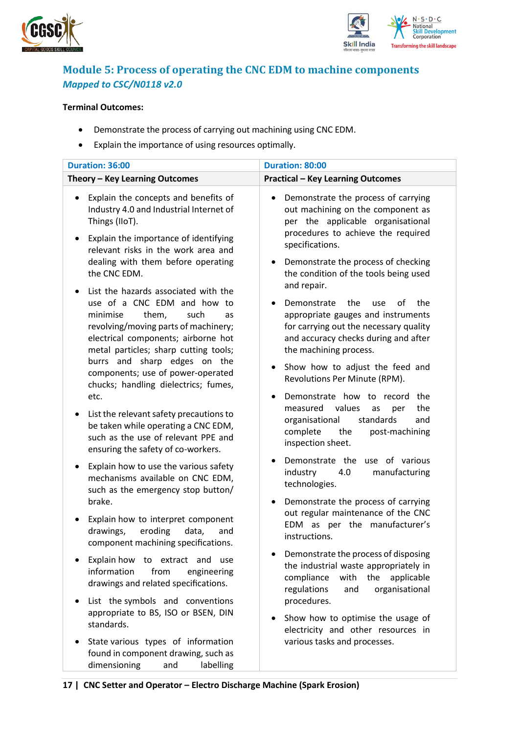



### <span id="page-16-0"></span>**Module 5: Process of operating the CNC EDM to machine components** *Mapped to CSC/N0118 v2.0*

#### **Terminal Outcomes:**

- Demonstrate the process of carrying out machining using CNC EDM.
- Explain the importance of using resources optimally.

| Duration: 36:00                                                                                                                                                                                                                                                                                                                                     | <b>Duration: 80:00</b>                                                                                                                                                                                                                                                                           |
|-----------------------------------------------------------------------------------------------------------------------------------------------------------------------------------------------------------------------------------------------------------------------------------------------------------------------------------------------------|--------------------------------------------------------------------------------------------------------------------------------------------------------------------------------------------------------------------------------------------------------------------------------------------------|
| Theory - Key Learning Outcomes                                                                                                                                                                                                                                                                                                                      | <b>Practical - Key Learning Outcomes</b>                                                                                                                                                                                                                                                         |
| Explain the concepts and benefits of<br>Industry 4.0 and Industrial Internet of<br>Things (IIoT).<br>Explain the importance of identifying<br>$\bullet$<br>relevant risks in the work area and<br>dealing with them before operating<br>the CNC EDM.                                                                                                | Demonstrate the process of carrying<br>out machining on the component as<br>per the applicable organisational<br>procedures to achieve the required<br>specifications.<br>Demonstrate the process of checking<br>the condition of the tools being used<br>and repair.                            |
| List the hazards associated with the<br>use of a CNC EDM and how to<br>minimise<br>them,<br>such<br>as<br>revolving/moving parts of machinery;<br>electrical components; airborne hot<br>metal particles; sharp cutting tools;<br>burrs and sharp edges on the<br>components; use of power-operated<br>chucks; handling dielectrics; fumes,<br>etc. | Demonstrate<br>the<br>the<br>of<br>use<br>appropriate gauges and instruments<br>for carrying out the necessary quality<br>and accuracy checks during and after<br>the machining process.<br>Show how to adjust the feed and<br>Revolutions Per Minute (RPM).<br>Demonstrate how to record<br>the |
| List the relevant safety precautions to<br>be taken while operating a CNC EDM,<br>such as the use of relevant PPE and<br>ensuring the safety of co-workers.                                                                                                                                                                                         | the<br>values<br>measured<br>as<br>per<br>organisational<br>standards<br>and<br>complete<br>the<br>post-machining<br>inspection sheet.                                                                                                                                                           |
| Explain how to use the various safety<br>mechanisms available on CNC EDM,<br>such as the emergency stop button/<br>brake.                                                                                                                                                                                                                           | Demonstrate the use of various<br>industry<br>manufacturing<br>4.0<br>technologies.<br>Demonstrate the process of carrying                                                                                                                                                                       |
| Explain how to interpret component<br>drawings,<br>eroding<br>data,<br>and<br>component machining specifications.                                                                                                                                                                                                                                   | out regular maintenance of the CNC<br>EDM as per the manufacturer's<br>instructions.                                                                                                                                                                                                             |
| Explain how to extract and<br>use<br>information<br>from<br>engineering<br>drawings and related specifications.                                                                                                                                                                                                                                     | Demonstrate the process of disposing<br>the industrial waste appropriately in<br>compliance<br>with<br>the<br>applicable<br>organisational<br>regulations<br>and                                                                                                                                 |
| List the symbols and conventions<br>appropriate to BS, ISO or BSEN, DIN<br>standards.                                                                                                                                                                                                                                                               | procedures.<br>Show how to optimise the usage of<br>electricity and other resources in                                                                                                                                                                                                           |
| State various types of information<br>found in component drawing, such as<br>dimensioning<br>labelling<br>and                                                                                                                                                                                                                                       | various tasks and processes.                                                                                                                                                                                                                                                                     |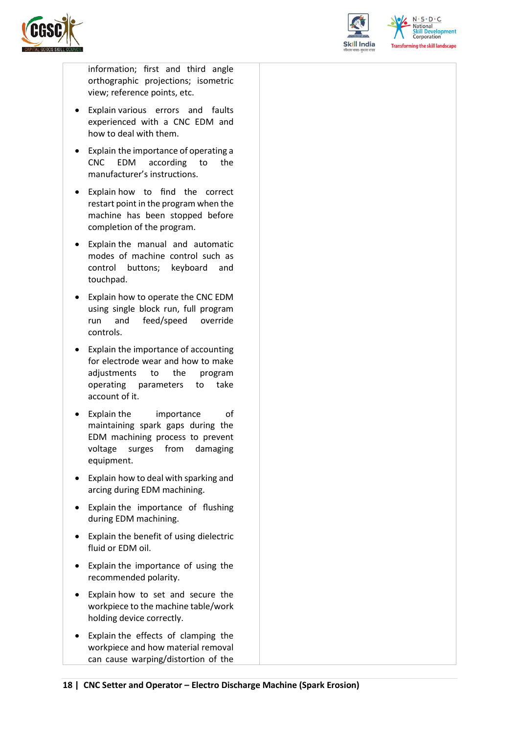



 $N.5.0.6$ **Skill Development**<br>Corporation **Transforming the skill landscape** 

information; first and third angle orthographic projections; isometric view; reference points, etc.

- Explain various errors and faults experienced with a CNC EDM and how to deal with them.
- Explain the importance of operating a CNC EDM according to the manufacturer's instructions.
- Explain how to find the correct restart point in the program when the machine has been stopped before completion of the program.
- Explain the manual and automatic modes of machine control such as control buttons; keyboard and touchpad.
- Explain how to operate the CNC EDM using single block run, full program run and feed/speed override controls.
- Explain the importance of accounting for electrode wear and how to make adjustments to the program operating parameters to take account of it.
- Explain the importance of maintaining spark gaps during the EDM machining process to prevent voltage surges from damaging equipment.
- Explain how to deal with sparking and arcing during EDM machining.
- Explain the importance of flushing during EDM machining.
- Explain the benefit of using dielectric fluid or EDM oil.
- Explain the importance of using the recommended polarity.
- Explain how to set and secure the workpiece to the machine table/work holding device correctly.
- Explain the effects of clamping the workpiece and how material removal can cause warping/distortion of the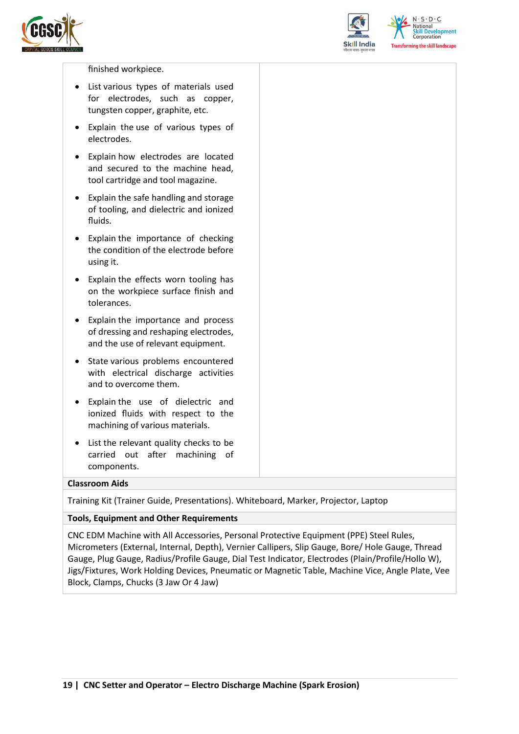



 $N.5.0.6$ elopment ing the skill landscape

#### finished workpiece.

- List various types of materials used for electrodes, such as copper, tungsten copper, graphite, etc.
- Explain the use of various types of electrodes.
- Explain how electrodes are located and secured to the machine head, tool cartridge and tool magazine.
- Explain the safe handling and storage of tooling, and dielectric and ionized fluids.
- Explain the importance of checking the condition of the electrode before using it.
- Explain the effects worn tooling has on the workpiece surface finish and tolerances.
- Explain the importance and process of dressing and reshaping electrodes, and the use of relevant equipment.
- State various problems encountered with electrical discharge activities and to overcome them.
- Explain the use of dielectric and ionized fluids with respect to the machining of various materials.
- List the relevant quality checks to be carried out after machining of components.

#### **Classroom Aids**

Training Kit (Trainer Guide, Presentations). Whiteboard, Marker, Projector, Laptop

#### **Tools, Equipment and Other Requirements**

CNC EDM Machine with All Accessories, Personal Protective Equipment (PPE) Steel Rules, Micrometers (External, Internal, Depth), Vernier Callipers, Slip Gauge, Bore/ Hole Gauge, Thread Gauge, Plug Gauge, Radius/Profile Gauge, Dial Test Indicator, Electrodes (Plain/Profile/Hollo W), Jigs/Fixtures, Work Holding Devices, Pneumatic or Magnetic Table, Machine Vice, Angle Plate, Vee Block, Clamps, Chucks (3 Jaw Or 4 Jaw)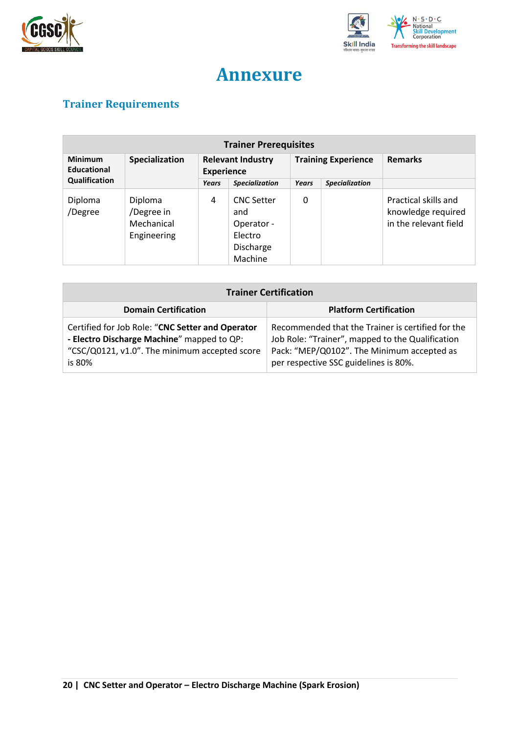



## **Annexure**

## <span id="page-19-1"></span><span id="page-19-0"></span>**Trainer Requirements**

| <b>Trainer Prerequisites</b>  |                                                    |                                               |                                                                           |                            |                       |                                                                     |  |
|-------------------------------|----------------------------------------------------|-----------------------------------------------|---------------------------------------------------------------------------|----------------------------|-----------------------|---------------------------------------------------------------------|--|
| <b>Minimum</b><br>Educational | Specialization                                     | <b>Relevant Industry</b><br><b>Experience</b> |                                                                           | <b>Training Experience</b> |                       | <b>Remarks</b>                                                      |  |
| Qualification                 |                                                    | <b>Years</b>                                  | <b>Specialization</b>                                                     | <b>Years</b>               | <b>Specialization</b> |                                                                     |  |
| Diploma<br>/Degree            | Diploma<br>/Degree in<br>Mechanical<br>Engineering | 4                                             | <b>CNC Setter</b><br>and<br>Operator -<br>Electro<br>Discharge<br>Machine | 0                          |                       | Practical skills and<br>knowledge required<br>in the relevant field |  |

| <b>Trainer Certification</b>                                                                                                                              |                                                                                                                                                                                              |  |  |  |
|-----------------------------------------------------------------------------------------------------------------------------------------------------------|----------------------------------------------------------------------------------------------------------------------------------------------------------------------------------------------|--|--|--|
| <b>Domain Certification</b>                                                                                                                               | <b>Platform Certification</b>                                                                                                                                                                |  |  |  |
| Certified for Job Role: "CNC Setter and Operator<br>- Electro Discharge Machine" mapped to QP:<br>"CSC/Q0121, v1.0". The minimum accepted score<br>is 80% | Recommended that the Trainer is certified for the<br>Job Role: "Trainer", mapped to the Qualification<br>Pack: "MEP/Q0102". The Minimum accepted as<br>per respective SSC guidelines is 80%. |  |  |  |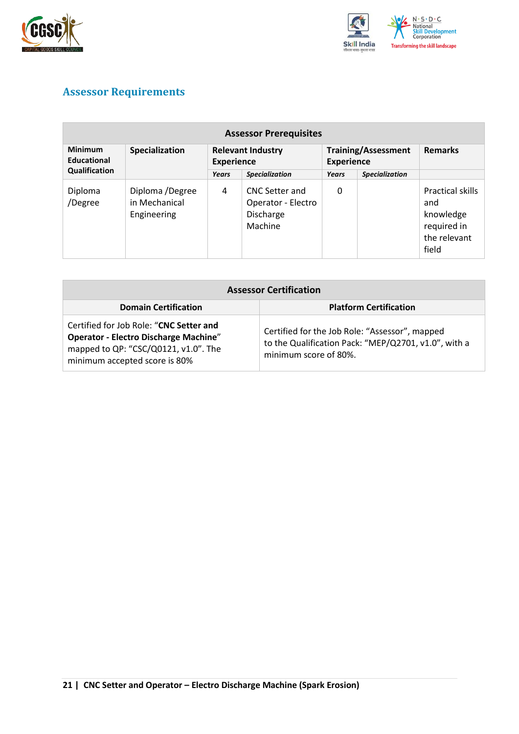



## <span id="page-20-0"></span>**Assessor Requirements**

| <b>Assessor Prerequisites</b>                  |                                                 |                                               |                                                                     |                                                 |                       |                                                                              |  |
|------------------------------------------------|-------------------------------------------------|-----------------------------------------------|---------------------------------------------------------------------|-------------------------------------------------|-----------------------|------------------------------------------------------------------------------|--|
| <b>Minimum</b><br>Educational<br>Qualification | Specialization                                  | <b>Relevant Industry</b><br><b>Experience</b> |                                                                     | <b>Training/Assessment</b><br><b>Experience</b> |                       | <b>Remarks</b>                                                               |  |
|                                                |                                                 | Years                                         | <b>Specialization</b>                                               | Years                                           | <b>Specialization</b> |                                                                              |  |
| Diploma<br>/Degree                             | Diploma /Degree<br>in Mechanical<br>Engineering | 4                                             | <b>CNC Setter and</b><br>Operator - Electro<br>Discharge<br>Machine | 0                                               |                       | Practical skills<br>and<br>knowledge<br>required in<br>the relevant<br>field |  |

| <b>Assessor Certification</b>                                                                                                                                    |                                                                                                                                 |  |  |  |
|------------------------------------------------------------------------------------------------------------------------------------------------------------------|---------------------------------------------------------------------------------------------------------------------------------|--|--|--|
| <b>Domain Certification</b>                                                                                                                                      | <b>Platform Certification</b>                                                                                                   |  |  |  |
| Certified for Job Role: "CNC Setter and<br><b>Operator - Electro Discharge Machine"</b><br>mapped to QP: "CSC/Q0121, v1.0". The<br>minimum accepted score is 80% | Certified for the Job Role: "Assessor", mapped<br>to the Qualification Pack: "MEP/Q2701, v1.0", with a<br>minimum score of 80%. |  |  |  |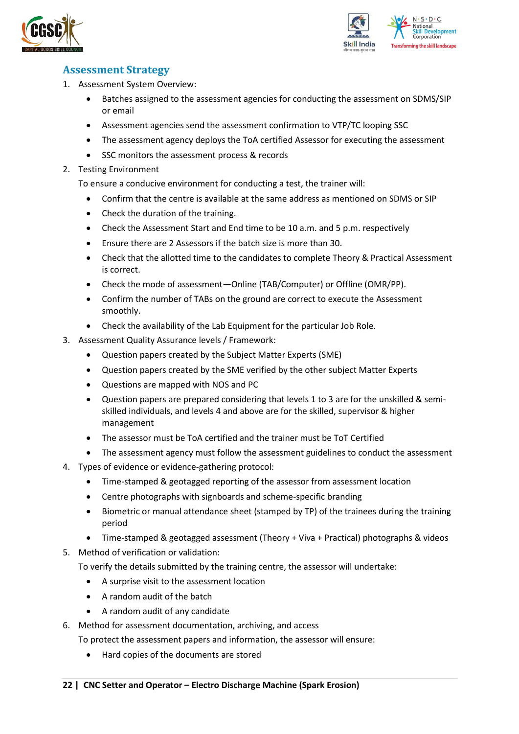



### <span id="page-21-0"></span>**Assessment Strategy**

- 1. Assessment System Overview:
	- Batches assigned to the assessment agencies for conducting the assessment on SDMS/SIP or email
	- Assessment agencies send the assessment confirmation to VTP/TC looping SSC
	- The assessment agency deploys the ToA certified Assessor for executing the assessment
	- SSC monitors the assessment process & records
- 2. Testing Environment

To ensure a conducive environment for conducting a test, the trainer will:

- Confirm that the centre is available at the same address as mentioned on SDMS or SIP
- Check the duration of the training.
- Check the Assessment Start and End time to be 10 a.m. and 5 p.m. respectively
- Ensure there are 2 Assessors if the batch size is more than 30.
- Check that the allotted time to the candidates to complete Theory & Practical Assessment is correct.
- Check the mode of assessment—Online (TAB/Computer) or Offline (OMR/PP).
- Confirm the number of TABs on the ground are correct to execute the Assessment smoothly.
- Check the availability of the Lab Equipment for the particular Job Role.
- 3. Assessment Quality Assurance levels / Framework:
	- Question papers created by the Subject Matter Experts (SME)
	- Question papers created by the SME verified by the other subject Matter Experts
	- Questions are mapped with NOS and PC
	- Question papers are prepared considering that levels 1 to 3 are for the unskilled & semiskilled individuals, and levels 4 and above are for the skilled, supervisor & higher management
	- The assessor must be ToA certified and the trainer must be ToT Certified
	- The assessment agency must follow the assessment guidelines to conduct the assessment
- 4. Types of evidence or evidence-gathering protocol:
	- Time-stamped & geotagged reporting of the assessor from assessment location
	- Centre photographs with signboards and scheme-specific branding
	- Biometric or manual attendance sheet (stamped by TP) of the trainees during the training period
	- Time-stamped & geotagged assessment (Theory + Viva + Practical) photographs & videos
- 5. Method of verification or validation:

To verify the details submitted by the training centre, the assessor will undertake:

- A surprise visit to the assessment location
- A random audit of the batch
- A random audit of any candidate
- 6. Method for assessment documentation, archiving, and access
	- To protect the assessment papers and information, the assessor will ensure:
		- Hard copies of the documents are stored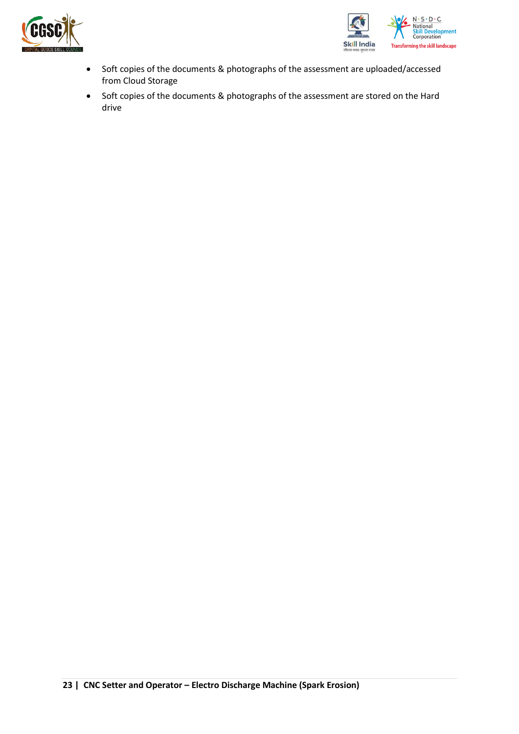



- Soft copies of the documents & photographs of the assessment are uploaded/accessed from Cloud Storage
- Soft copies of the documents & photographs of the assessment are stored on the Hard drive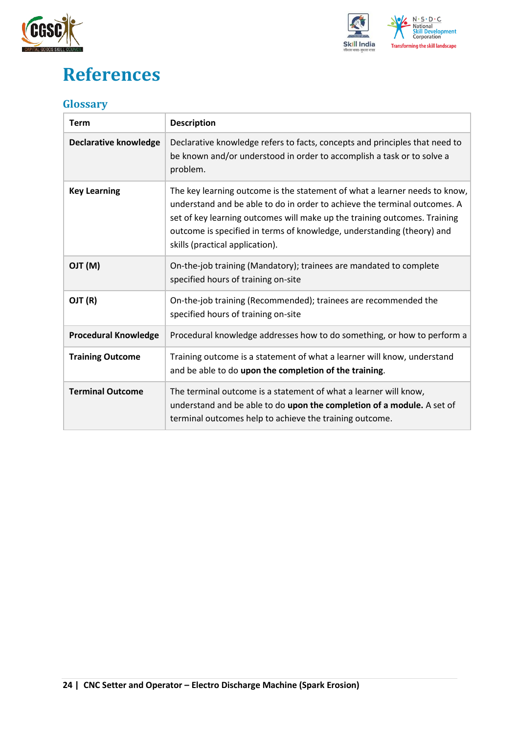



## <span id="page-23-0"></span>**References**

### <span id="page-23-1"></span>**Glossary**

| <b>Term</b>                  | <b>Description</b>                                                                                                                                                                                                                                                                                                                                |
|------------------------------|---------------------------------------------------------------------------------------------------------------------------------------------------------------------------------------------------------------------------------------------------------------------------------------------------------------------------------------------------|
| <b>Declarative knowledge</b> | Declarative knowledge refers to facts, concepts and principles that need to<br>be known and/or understood in order to accomplish a task or to solve a<br>problem.                                                                                                                                                                                 |
| <b>Key Learning</b>          | The key learning outcome is the statement of what a learner needs to know,<br>understand and be able to do in order to achieve the terminal outcomes. A<br>set of key learning outcomes will make up the training outcomes. Training<br>outcome is specified in terms of knowledge, understanding (theory) and<br>skills (practical application). |
| (M) TLO                      | On-the-job training (Mandatory); trainees are mandated to complete<br>specified hours of training on-site                                                                                                                                                                                                                                         |
| OJT (R)                      | On-the-job training (Recommended); trainees are recommended the<br>specified hours of training on-site                                                                                                                                                                                                                                            |
| <b>Procedural Knowledge</b>  | Procedural knowledge addresses how to do something, or how to perform a                                                                                                                                                                                                                                                                           |
| <b>Training Outcome</b>      | Training outcome is a statement of what a learner will know, understand<br>and be able to do upon the completion of the training.                                                                                                                                                                                                                 |
| <b>Terminal Outcome</b>      | The terminal outcome is a statement of what a learner will know,<br>understand and be able to do upon the completion of a module. A set of<br>terminal outcomes help to achieve the training outcome.                                                                                                                                             |